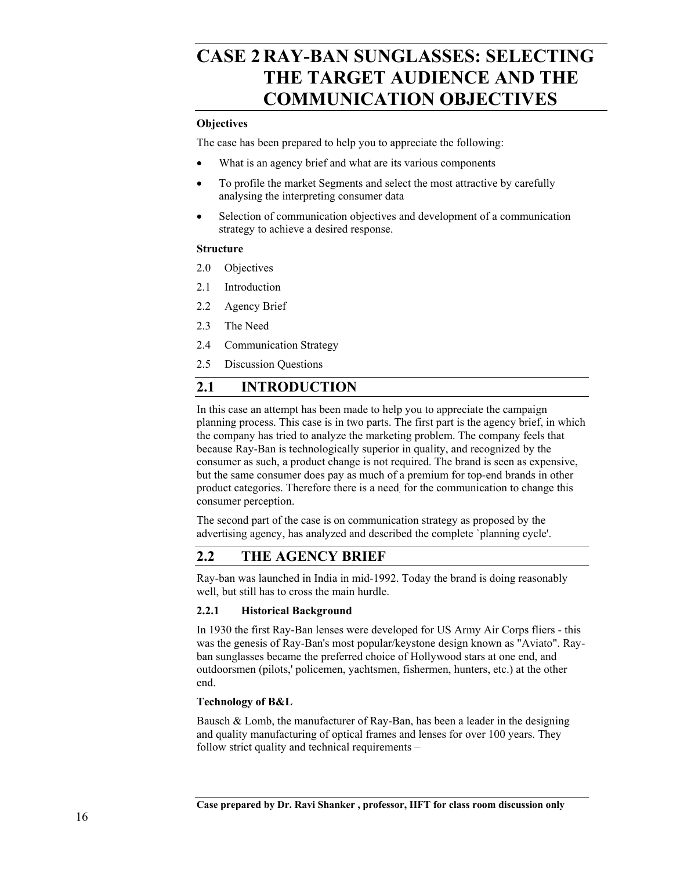# **CASE 2 RAY-BAN SUNGLASSES: SELECTING THE TARGET AUDIENCE AND THE COMMUNICATION OBJECTIVES**

#### **Objectives**

The case has been prepared to help you to appreciate the following:

- What is an agency brief and what are its various components
- To profile the market Segments and select the most attractive by carefully analysing the interpreting consumer data
- Selection of communication objectives and development of a communication strategy to achieve a desired response.

#### **Structure**

- 2.0 Objectives
- 2.1 Introduction
- 2.2 Agency Brief
- 2.3 The Need
- 2.4 Communication Strategy
- 2.5 Discussion Questions

# **2.1 INTRODUCTION**

In this case an attempt has been made to help you to appreciate the campaign planning process. This case is in two parts. The first part is the agency brief, in which the company has tried to analyze the marketing problem. The company feels that because Ray-Ban is technologically superior in quality, and recognized by the consumer as such, a product change is not required. The brand is seen as expensive, but the same consumer does pay as much of a premium for top-end brands in other product categories. Therefore there is a need. for the communication to change this consumer perception.

The second part of the case is on communication strategy as proposed by the advertising agency, has analyzed and described the complete `planning cycle'.

# **2.2 THE AGENCY BRIEF**

Ray-ban was launched in India in mid-1992. Today the brand is doing reasonably well, but still has to cross the main hurdle.

## **2.2.1 Historical Background**

In 1930 the first Ray-Ban lenses were developed for US Army Air Corps fliers - this was the genesis of Ray-Ban's most popular/keystone design known as "Aviato". Rayban sunglasses became the preferred choice of Hollywood stars at one end, and outdoorsmen (pilots,' policemen, yachtsmen, fishermen, hunters, etc.) at the other end.

## **Technology of B&L**

Bausch  $\&$  Lomb, the manufacturer of Ray-Ban, has been a leader in the designing and quality manufacturing of optical frames and lenses for over 100 years. They follow strict quality and technical requirements –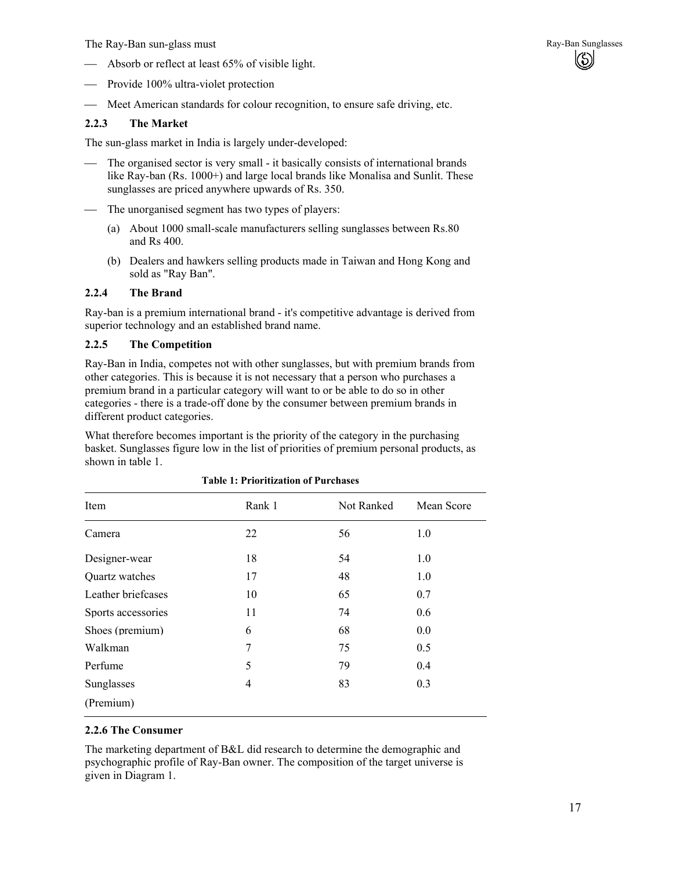The Ray-Ban sun-glass must and the Ray-Ban Sunglasses and Ray-Ban Sunglasses

- Absorb or reflect at least 65% of visible light.
- Provide 100% ultra-violet protection
- Meet American standards for colour recognition, to ensure safe driving, etc.

## **2.2.3 The Market**

The sun-glass market in India is largely under-developed:

- The organised sector is very small it basically consists of international brands like Ray-ban (Rs. 1000+) and large local brands like Monalisa and Sunlit. These sunglasses are priced anywhere upwards of Rs. 350.
- The unorganised segment has two types of players:
	- (a) About 1000 small-scale manufacturers selling sunglasses between Rs.80 and Rs 400.
	- (b) Dealers and hawkers selling products made in Taiwan and Hong Kong and sold as "Ray Ban".

#### **2.2.4 The Brand**

Ray-ban is a premium international brand - it's competitive advantage is derived from superior technology and an established brand name.

#### **2.2.5 The Competition**

Ray-Ban in India, competes not with other sunglasses, but with premium brands from other categories. This is because it is not necessary that a person who purchases a premium brand in a particular category will want to or be able to do so in other categories - there is a trade-off done by the consumer between premium brands in different product categories.

What therefore becomes important is the priority of the category in the purchasing basket. Sunglasses figure low in the list of priorities of premium personal products, as shown in table 1.

| Item               | Rank 1 | Not Ranked | Mean Score |
|--------------------|--------|------------|------------|
| Camera             | 22     | 56         | 1.0        |
| Designer-wear      | 18     | 54         | 1.0        |
| Quartz watches     | 17     | 48         | 1.0        |
| Leather briefcases | 10     | 65         | 0.7        |
| Sports accessories | 11     | 74         | 0.6        |
| Shoes (premium)    | 6      | 68         | 0.0        |
| Walkman            | 7      | 75         | 0.5        |
| Perfume            | 5      | 79         | 0.4        |
| Sunglasses         | 4      | 83         | 0.3        |
| (Premium)          |        |            |            |

**Table 1: Prioritization of Purchases** 

## **2.2.6 The Consumer**

The marketing department of B&L did research to determine the demographic and psychographic profile of Ray-Ban owner. The composition of the target universe is given in Diagram 1.

(හි)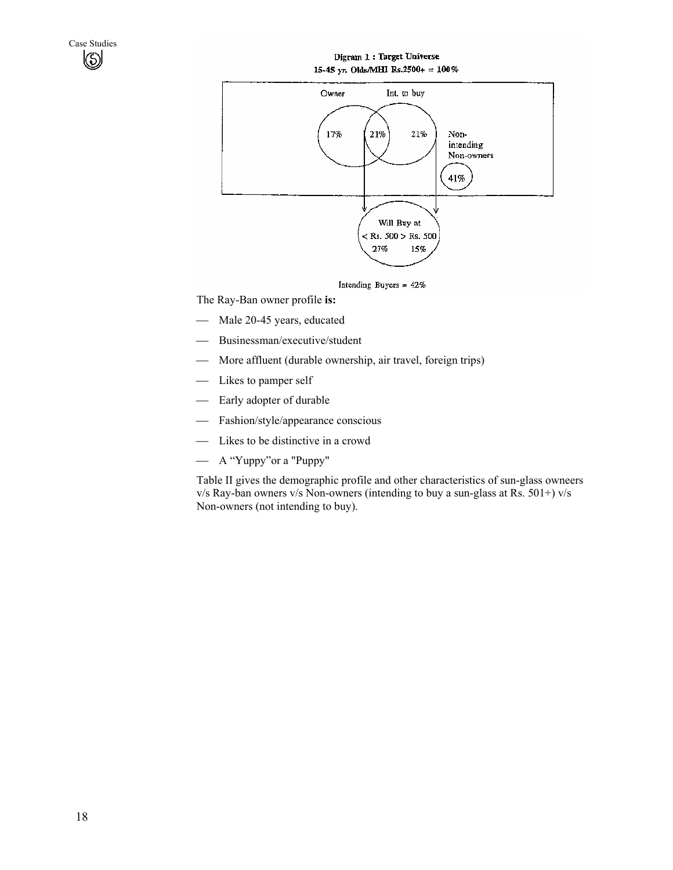#### Digram 1: Target Universe 15-45 yr. Olds/MHI Rs.2500+ = 100%



The Ray-Ban owner profile **is:** 

- Male 20-45 years, educated
- Businessman/executive/student
- More affluent (durable ownership, air travel, foreign trips)
- Likes to pamper self
- Early adopter of durable
- Fashion/style/appearance conscious
- Likes to be distinctive in a crowd
- A "Yuppy"or a "Puppy"

Table II gives the demographic profile and other characteristics of sun-glass owneers v/s Ray-ban owners v/s Non-owners (intending to buy a sun-glass at Rs. 501+) v/s Non-owners (not intending to buy).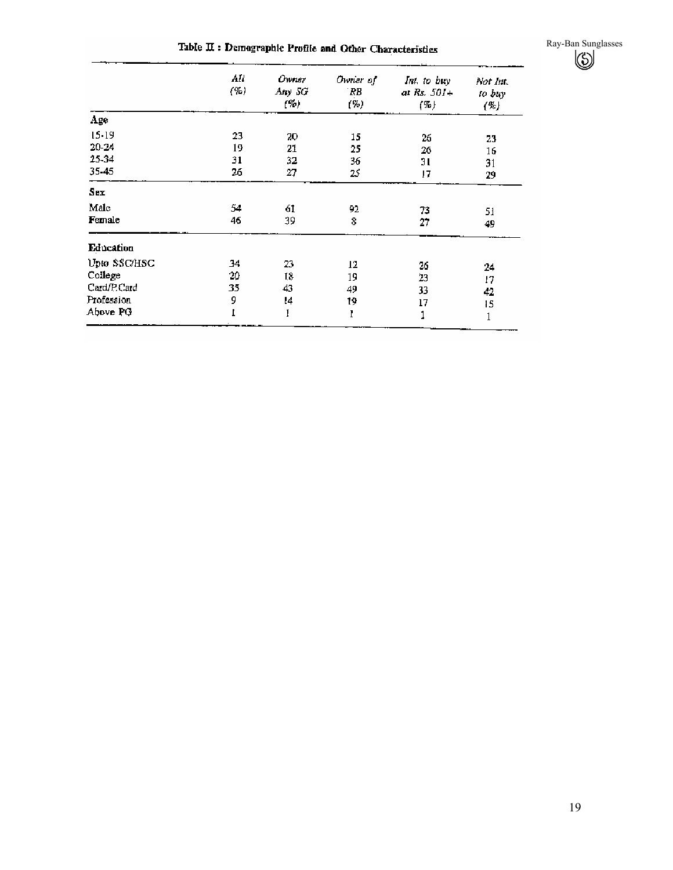Table II : Demographic Profile and Other Characteristics

Ray-Ban Sunglasses

|              | All<br>( %) | Owner<br>Any SG<br>(%) | Owner of<br>RB<br>(%) | Int. to buy<br>at Rs. $501+$<br>(%) | Not Int.<br>to buy<br>(%) |
|--------------|-------------|------------------------|-----------------------|-------------------------------------|---------------------------|
| Age          |             |                        |                       |                                     |                           |
| $15 - 19$    | 23          | 20                     | 15                    | 26                                  | 23                        |
| 20-24        | 19          | 21                     | 25                    | 26                                  | 16                        |
| 25-34        | 31          | 32                     | 36                    | 31                                  | 31                        |
| 35-45        | 26          | 27                     | 25                    | 17                                  | 29                        |
| Sex          |             |                        |                       |                                     |                           |
| Male         | 54          | 61                     | 92                    | 73.                                 | 51                        |
| Female       | 46          | 39                     | 8                     | 27                                  | 49                        |
| Education    |             |                        |                       |                                     |                           |
| Upto SSC/HSC | 34          | 23                     | 12                    | 26                                  | 24                        |
| College      | 20          | 18                     | 19                    | 23                                  | 17                        |
| Card/P.Card  | 35          | 43                     | 49                    | 33                                  | 42                        |
| Profession   | 9           | 14                     | 19                    | 17                                  | 15                        |
| Above PG     | I           | 1                      | ľ                     |                                     | 1                         |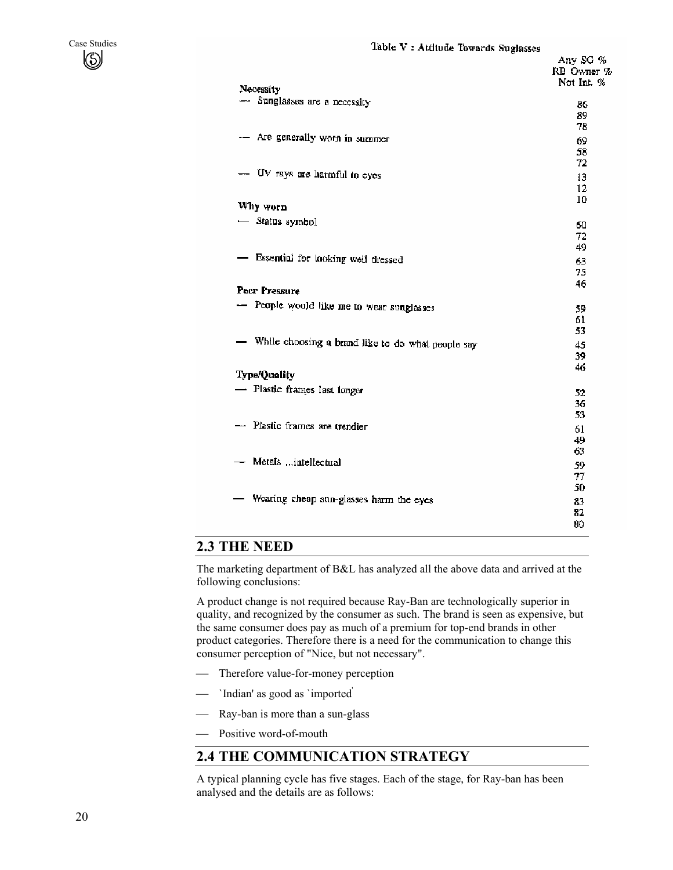

| Necessity                                                           | KB UWI<br>Not Int |
|---------------------------------------------------------------------|-------------------|
| -- Sunglasses are a necessity                                       | 86<br>89<br>78    |
| - Are generally worn in summer                                      | 69.<br>58         |
| -- UV rays are harmful to eyes                                      | 72<br>13<br>12    |
| Why worn                                                            | 10                |
| - Status symbol                                                     | 60<br>72<br>49    |
| - Essential for looking well dressed                                | 63.<br>75         |
| Pecr Pressure                                                       | 46                |
| - People would like me to wear sunglasses                           | 59<br>61<br>53    |
| - While choosing a brand like to do what people say<br>Type/Quality | 45<br>39<br>46    |
| - Plastic frames last longer                                        | 52<br>36<br>53    |
| - Plastic frames are trendier                                       | 61<br>49<br>63    |
| - Metals intellectual                                               | 59<br>77<br>50    |
| Wearing cheap sun-glasses harm the eyes                             | 83<br>82<br>80    |

## **2.3 THE NEED**

The marketing department of B&L has analyzed all the above data and arrived at the following conclusions:

A product change is not required because Ray-Ban are technologically superior in quality, and recognized by the consumer as such. The brand is seen as expensive, but the same consumer does pay as much of a premium for top-end brands in other product categories. Therefore there is a need for the communication to change this consumer perception of "Nice, but not necessary".

- Therefore value-for-money perception
- `Indian' as good as `imported'
- Ray-ban is more than a sun-glass
- Positive word-of-mouth

# **2.4 THE COMMUNICATION STRATEGY**

A typical planning cycle has five stages. Each of the stage, for Ray-ban has been analysed and the details are as follows: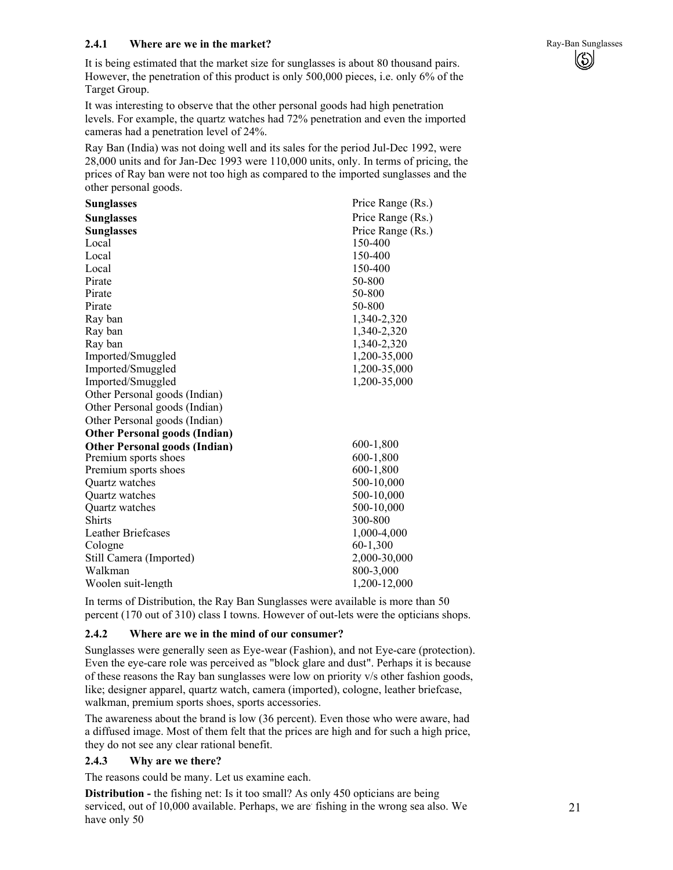## **2.4.1** Where are we in the market? **Ray-Ban Sunglasses Ray-Ban Sunglasses**

It is being estimated that the market size for sunglasses is about 80 thousand pairs. However, the penetration of this product is only 500,000 pieces, i.e. only 6% of the Target Group.

It was interesting to observe that the other personal goods had high penetration levels. For example, the quartz watches had 72% penetration and even the imported cameras had a penetration level of 24%.

Ray Ban (India) was not doing well and its sales for the period Jul-Dec 1992, were 28,000 units and for Jan-Dec 1993 were 110,000 units, only. In terms of pricing, the prices of Ray ban were not too high as compared to the imported sunglasses and the other personal goods.

| <b>Sunglasses</b>                    | Price Range (Rs.) |
|--------------------------------------|-------------------|
| <b>Sunglasses</b>                    | Price Range (Rs.) |
| <b>Sunglasses</b>                    | Price Range (Rs.) |
| Local                                | 150-400           |
| Local                                | 150-400           |
| Local                                | 150-400           |
| Pirate                               | 50-800            |
| Pirate                               | 50-800            |
| Pirate                               | 50-800            |
| Ray ban                              | 1,340-2,320       |
| Ray ban                              | 1,340-2,320       |
| Ray ban                              | 1,340-2,320       |
| Imported/Smuggled                    | 1,200-35,000      |
| Imported/Smuggled                    | 1,200-35,000      |
| Imported/Smuggled                    | 1,200-35,000      |
| Other Personal goods (Indian)        |                   |
| Other Personal goods (Indian)        |                   |
| Other Personal goods (Indian)        |                   |
| <b>Other Personal goods (Indian)</b> |                   |
| <b>Other Personal goods (Indian)</b> | 600-1,800         |
| Premium sports shoes                 | 600-1,800         |
| Premium sports shoes                 | 600-1,800         |
| Quartz watches                       | 500-10,000        |
| Quartz watches                       | 500-10,000        |
| Quartz watches                       | 500-10,000        |
| <b>Shirts</b>                        | 300-800           |
| <b>Leather Briefcases</b>            | 1,000-4,000       |
| Cologne                              | $60-1,300$        |
| Still Camera (Imported)              | 2,000-30,000      |
| Walkman                              | 800-3,000         |
| Woolen suit-length                   | 1,200-12,000      |

 $\left(\circlearrowright)$ 

In terms of Distribution, the Ray Ban Sunglasses were available is more than 50 percent (170 out of 310) class I towns. However of out-lets were the opticians shops.

#### **2.4.2 Where are we in the mind of our consumer?**

Sunglasses were generally seen as Eye-wear (Fashion), and not Eye-care (protection). Even the eye-care role was perceived as "block glare and dust". Perhaps it is because of these reasons the Ray ban sunglasses were low on priority v/s other fashion goods, like; designer apparel, quartz watch, camera (imported), cologne, leather briefcase, walkman, premium sports shoes, sports accessories.

The awareness about the brand is low (36 percent). Even those who were aware, had a diffused image. Most of them felt that the prices are high and for such a high price, they do not see any clear rational benefit.

### **2.4.3 Why are we there?**

The reasons could be many. Let us examine each.

**Distribution - the fishing net:** Is it too small? As only 450 opticians are being serviced, out of 10,000 available. Perhaps, we are fishing in the wrong sea also. We have only 50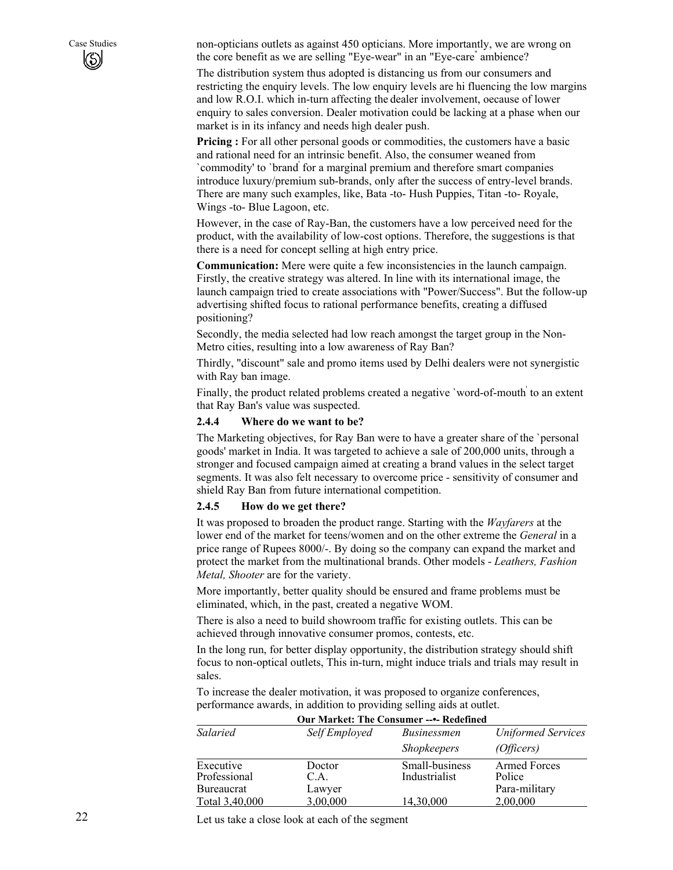Case Studies non-opticians outlets as against 450 opticians. More importantly, we are wrong on the core benefit as we are selling "Eye-wear" in an "Eye-care" ambience?

> The distribution system thus adopted is distancing us from our consumers and restricting the enquiry levels. The low enquiry levels are hi fluencing the low margins and low R.O.I. which in-turn affecting the dealer involvement, oecause of lower enquiry to sales conversion. Dealer motivation could be lacking at a phase when our market is in its infancy and needs high dealer push.

**Pricing :** For all other personal goods or commodities, the customers have a basic and rational need for an intrinsic benefit. Also, the consumer weaned from `commodity' to `brand' for a marginal premium and therefore smart companies introduce luxury/premium sub-brands, only after the success of entry-level brands. There are many such examples, like, Bata -to- Hush Puppies, Titan -to- Royale, Wings -to- Blue Lagoon, etc.

However, in the case of Ray-Ban, the customers have a low perceived need for the product, with the availability of low-cost options. Therefore, the suggestions is that there is a need for concept selling at high entry price.

**Communication:** Mere were quite a few inconsistencies in the launch campaign. Firstly, the creative strategy was altered. In line with its international image, the launch campaign tried to create associations with "Power/Success". But the follow-up advertising shifted focus to rational performance benefits, creating a diffused positioning?

Secondly, the media selected had low reach amongst the target group in the Non-Metro cities, resulting into a low awareness of Ray Ban?

Thirdly, "discount" sale and promo items used by Delhi dealers were not synergistic with Ray ban image.

Finally, the product related problems created a negative `word-of-mouth' to an extent that Ray Ban's value was suspected.

#### **2.4.4 Where do we want to be?**

The Marketing objectives, for Ray Ban were to have a greater share of the `personal goods' market in India. It was targeted to achieve a sale of 200,000 units, through a stronger and focused campaign aimed at creating a brand values in the select target segments. It was also felt necessary to overcome price - sensitivity of consumer and shield Ray Ban from future international competition.

#### **2.4.5 How do we get there?**

It was proposed to broaden the product range. Starting with the *Wayfarers* at the lower end of the market for teens/women and on the other extreme the *General* in a price range of Rupees 8000/-. By doing so the company can expand the market and protect the market from the multinational brands. Other models - *Leathers, Fashion Metal, Shooter* are for the variety.

More importantly, better quality should be ensured and frame problems must be eliminated, which, in the past, created a negative WOM.

There is also a need to build showroom traffic for existing outlets. This can be achieved through innovative consumer promos, contests, etc.

In the long run, for better display opportunity, the distribution strategy should shift focus to non-optical outlets, This in-turn, might induce trials and trials may result in sales.

To increase the dealer motivation, it was proposed to organize conferences, performance awards, in addition to providing selling aids at outlet.

|                                         | Our Market: The Consumer ---- Redefined |                                 |                                         |  |
|-----------------------------------------|-----------------------------------------|---------------------------------|-----------------------------------------|--|
| Salaried                                | Self Employed                           | <i>Businessmen</i>              | <b>Uniformed Services</b>               |  |
|                                         |                                         | <i>Shopkeepers</i>              | (Officers)                              |  |
| Executive<br>Professional<br>Bureaucrat | Doctor<br>C.A.<br>Lawyer                | Small-business<br>Industrialist | Armed Forces<br>Police<br>Para-military |  |
| Total 3,40,000                          | 3.00.000                                | 14.30.000                       | 2,00,000                                |  |

# **Our Market: The Consumer --•- Redefined**

Let us take a close look at each of the segment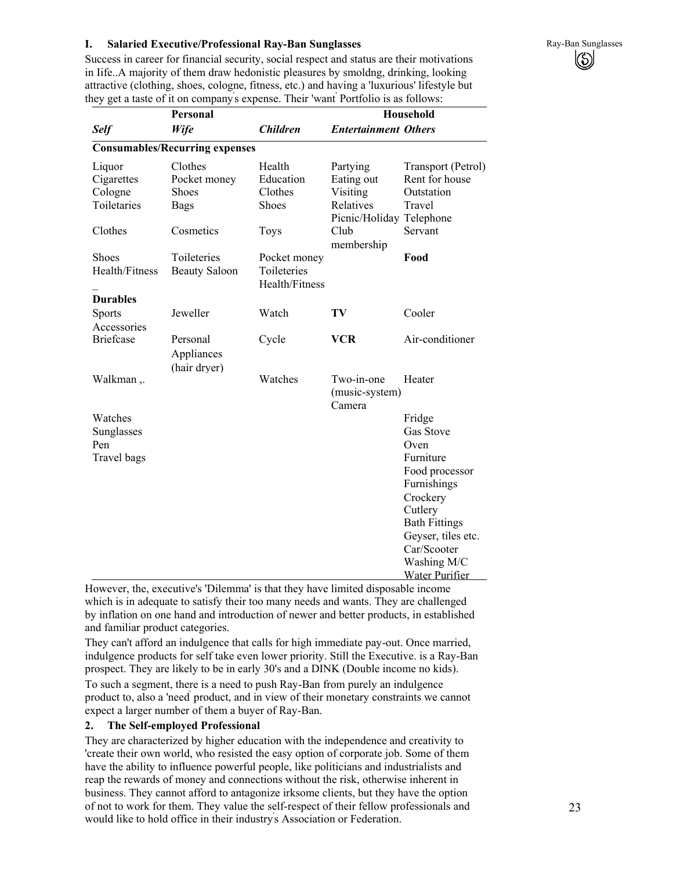## **I.** Salaried Executive/Professional Ray-Ban Sunglasses **Ray-Ban Sunglasses** Ray-Ban Sunglasses

 $\left(\mathrm{\S}\right)$ 

Success in career for financial security, social respect and status are their motivations in Iife..A majority of them draw hedonistic pleasures by smoldng, drinking, looking attractive (clothing, shoes, cologne, fitness, etc.) and having a 'luxurious' lifestyle but they get a taste of it on company' s expense. Their 'want' Portfolio is as follows:

| <b>Personal</b>                |                                        |                                               | <b>Household</b>                       |                                      |
|--------------------------------|----------------------------------------|-----------------------------------------------|----------------------------------------|--------------------------------------|
| <b>Self</b>                    | Wife                                   | <b>Children</b>                               | <b>Entertainment Others</b>            |                                      |
|                                | <b>Consumables/Recurring expenses</b>  |                                               |                                        |                                      |
| Liquor<br>Cigarettes           | Clothes<br>Pocket money                | Health<br>Education                           | Partying<br>Eating out                 | Transport (Petrol)<br>Rent for house |
| Cologne                        | Shoes                                  | Clothes                                       | Visiting                               | Outstation                           |
| Toiletaries                    | <b>Bags</b>                            | Shoes                                         | Relatives<br>Picnic/Holiday Telephone  | Travel                               |
| Clothes                        | Cosmetics                              | <b>Toys</b>                                   | Club<br>membership                     | Servant                              |
| <b>Shoes</b><br>Health/Fitness | Toileteries<br><b>Beauty Saloon</b>    | Pocket money<br>Toileteries<br>Health/Fitness |                                        | Food                                 |
| <b>Durables</b>                |                                        |                                               |                                        |                                      |
| Sports                         | Jeweller                               | Watch                                         | TV                                     | Cooler                               |
| Accessories                    |                                        |                                               |                                        |                                      |
| <b>Briefcase</b>               | Personal<br>Appliances<br>(hair dryer) | Cycle                                         | <b>VCR</b>                             | Air-conditioner                      |
| Walkman,.                      |                                        | Watches                                       | Two-in-one<br>(music-system)<br>Camera | Heater                               |
| Watches                        |                                        |                                               |                                        | Fridge                               |
| Sunglasses                     |                                        |                                               |                                        | Gas Stove                            |
| Pen                            |                                        |                                               |                                        | Oven                                 |
| Travel bags                    |                                        |                                               |                                        | Furniture                            |
|                                |                                        |                                               |                                        | Food processor                       |
|                                |                                        |                                               |                                        | Furnishings                          |
|                                |                                        |                                               |                                        | Crockery                             |
|                                |                                        |                                               |                                        | Cutlery                              |
|                                |                                        |                                               |                                        | <b>Bath Fittings</b>                 |
|                                |                                        |                                               |                                        | Geyser, tiles etc.                   |
|                                |                                        |                                               |                                        | Car/Scooter                          |
|                                |                                        |                                               |                                        | Washing M/C                          |
|                                |                                        |                                               |                                        | <b>Water Purifier</b>                |

However, the, executive's 'Dilemma' is that they have limited disposable income which is in adequate to satisfy their too many needs and wants. They are challenged by inflation on one hand and introduction of newer and better products, in established and familiar product categories.

They can't afford an indulgence that calls for high immediate pay-out. Once married, indulgence products for self take even lower priority. Still the Executive. is a Ray-Ban prospect. They are likely to be in early 30's and a DINK (Double income no kids). To such a segment, there is a need to push Ray-Ban from purely an indulgence product to, also a 'need<sup>'</sup> product, and in view of their monetary constraints we cannot expect a larger number of them a buyer of Ray-Ban.

## **2. The Self-employed Professional**

They are characterized by higher education with the independence and creativity to 'create their own world, who resisted the easy option of corporate job. Some of them have the ability to influence powerful people, like politicians and industrialists and reap the rewards of money and connections without the risk, otherwise inherent in business. They cannot afford to antagonize irksome clients, but they have the option of not to work for them. They value the self-respect of their fellow professionals and would like to hold office in their industry' s Association or Federation.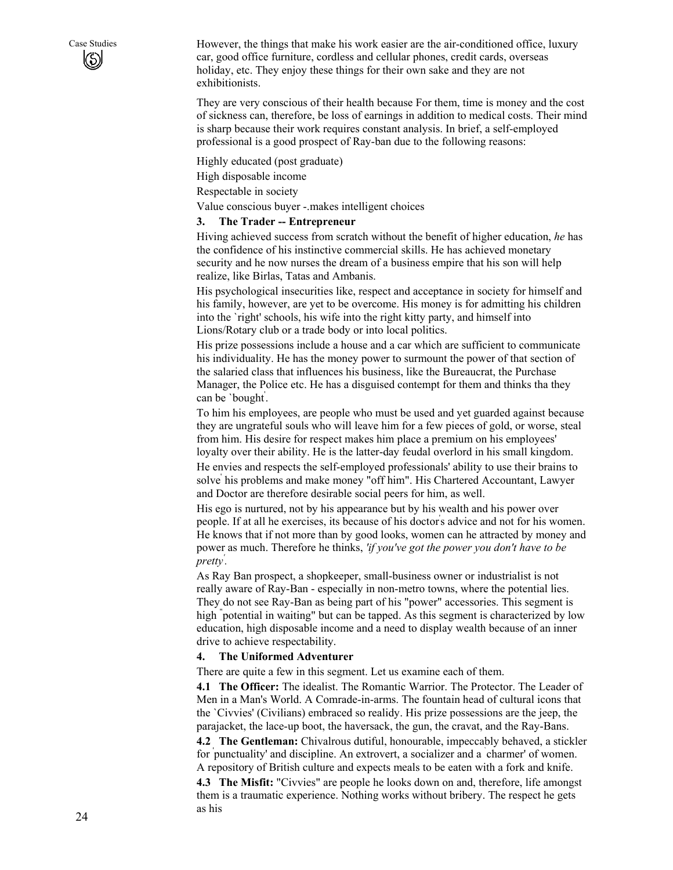Case Studies However, the things that make his work easier are the air-conditioned office, luxury car, good office furniture, cordless and cellular phones, credit cards, overseas holiday, etc. They enjoy these things for their own sake and they are not exhibitionists.

> They are very conscious of their health because For them, time is money and the cost of sickness can, therefore, be loss of earnings in addition to medical costs. Their mind is sharp because their work requires constant analysis. In brief, a self-employed professional is a good prospect of Ray-ban due to the following reasons:

Highly educated (post graduate)

High disposable income

Respectable in society

Value conscious buyer -.makes intelligent choices

#### **3. The Trader -- Entrepreneur**

Hiving achieved success from scratch without the benefit of higher education, *he* has the confidence of his instinctive commercial skills. He has achieved monetary security and he now nurses the dream of a business empire that his son will help realize, like Birlas, Tatas and Ambanis.

His psychological insecurities like, respect and acceptance in society for himself and his family, however, are yet to be overcome. His money is for admitting his children into the `right' schools, his wife into the right kitty party, and himself into Lions/Rotary club or a trade body or into local politics.

His prize possessions include a house and a car which are sufficient to communicate his individuality. He has the money power to surmount the power of that section of the salaried class that influences his business, like the Bureaucrat, the Purchase Manager, the Police etc. He has a disguised contempt for them and thinks tha they can be `bought' .

To him his employees, are people who must be used and yet guarded against because they are ungrateful souls who will leave him for a few pieces of gold, or worse, steal from him. His desire for respect makes him place a premium on his employees' loyalty over their ability. He is the latter-day feudal overlord in his small kingdom.

He envies and respects the self-employed professionals' ability to use their brains to solve' his problems and make money "off him". His Chartered Accountant, Lawyer and Doctor are therefore desirable social peers for him, as well.

His ego is nurtured, not by his appearance but by his wealth and his power over people. If at all he exercises, its because of his doctor' s advice and not for his women. He knows that if not more than by good looks, women can he attracted by money and power as much. Therefore he thinks, *'if you've got the power you don't have to be pretty' .* 

As Ray Ban prospect, a shopkeeper, small-business owner or industrialist is not really aware of Ray-Ban - especially in non-metro towns, where the potential lies. They do not see Ray-Ban as being part of his "power" accessories. This segment is high " potential in waiting" but can be tapped. As this segment is characterized by low education, high disposable income and a need to display wealth because of an inner drive to achieve respectability.

#### **4. The Uniformed Adventurer**

There are quite a few in this segment. Let us examine each of them.

**4.1 The Officer:** The idealist. The Romantic Warrior. The Protector. The Leader of Men in a Man's World. A Comrade-in-arms. The fountain head of cultural icons that the `Civvies' (Civilians) embraced so realidy. His prize possessions are the jeep, the parajacket, the lace-up boot, the haversack, the gun, the cravat, and the Ray-Bans.

**4.2 The Gentleman:** Chivalrous dutiful, honourable, impeccably behaved, a stickler for ' punctuality' and discipline. An extrovert, a socializer and a ` charmer' of women. A repository of British culture and expects meals to be eaten with a fork and knife.

**4.3 The Misfit:** "Civvies" are people he looks down on and, therefore, life amongst them is a traumatic experience. Nothing works without bribery. The respect he gets as his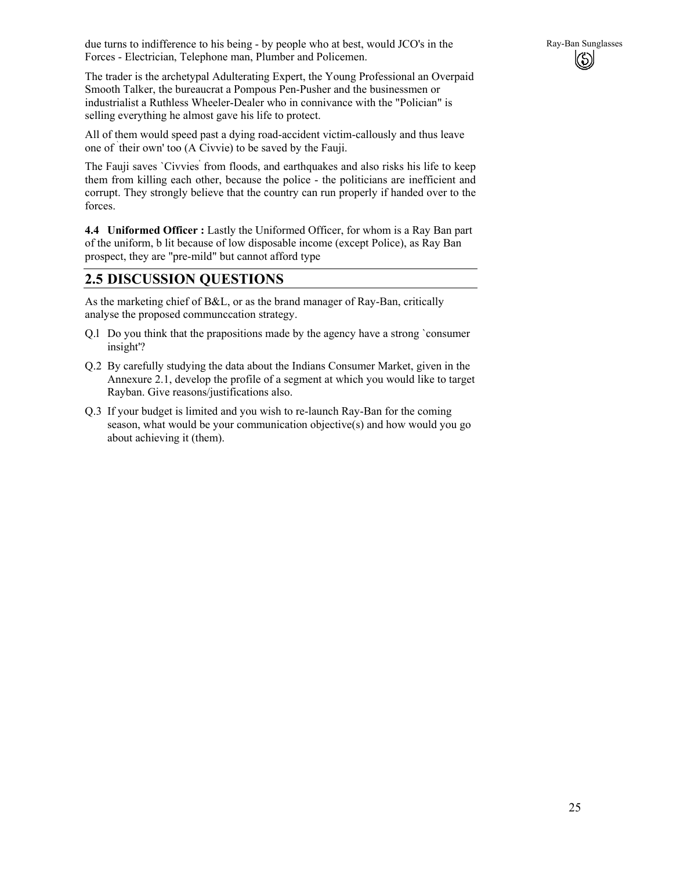

The trader is the archetypal Adulterating Expert, the Young Professional an Overpaid Smooth Talker, the bureaucrat a Pompous Pen-Pusher and the businessmen or industrialist a Ruthless Wheeler-Dealer who in connivance with the "Polician" is selling everything he almost gave his life to protect.

All of them would speed past a dying road-accident victim-callously and thus leave one of ` their own' too (A Civvie) to be saved by the Fauji.

The Fauji saves `Civvies' from floods, and earthquakes and also risks his life to keep them from killing each other, because the police - the politicians are inefficient and corrupt. They strongly believe that the country can run properly if handed over to the forces.

**4.4 Uniformed Officer :** Lastly the Uniformed Officer, for whom is a Ray Ban part of the uniform, b lit because of low disposable income (except Police), as Ray Ban prospect, they are "pre-mild" but cannot afford type

# **2.5 DISCUSSION QUESTIONS**

As the marketing chief of B&L, or as the brand manager of Ray-Ban, critically analyse the proposed communccation strategy.

- Q.l Do you think that the prapositions made by the agency have a strong `consumer insight'?
- Q.2 By carefully studying the data about the Indians Consumer Market, given in the Annexure 2.1, develop the profile of a segment at which you would like to target Rayban. Give reasons/justifications also.
- Q.3 If your budget is limited and you wish to re-launch Ray-Ban for the coming season, what would be your communication objective(s) and how would you go about achieving it (them).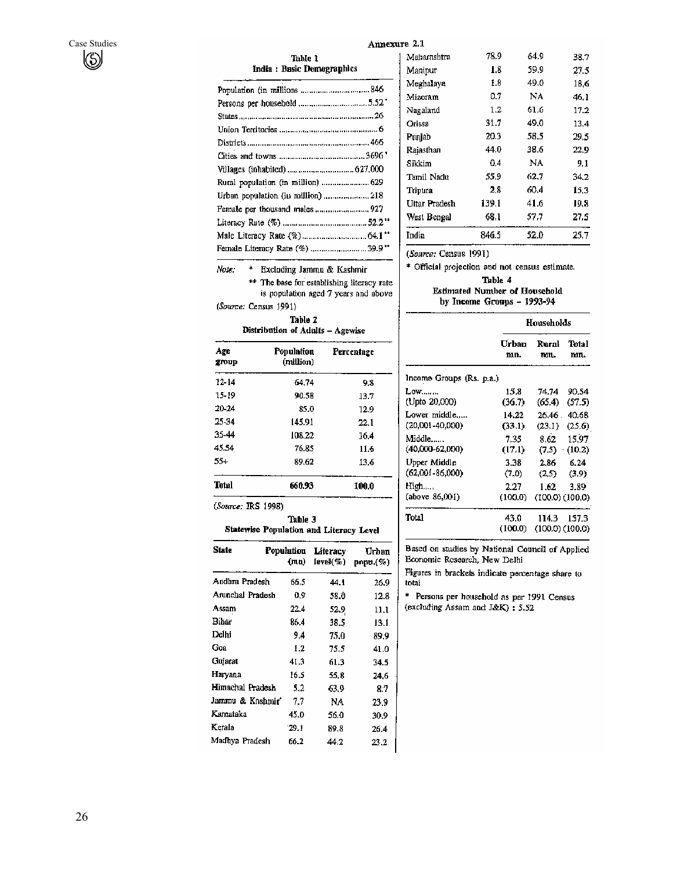| Annexure 2.1 |  |
|--------------|--|
|--------------|--|

Maharashtra

Manipur

|  | Table 1                    |
|--|----------------------------|
|  | India : Basic Demographics |

| Population (in millions 846   |  |
|-------------------------------|--|
|                               |  |
|                               |  |
|                               |  |
|                               |  |
|                               |  |
| Villages (inhabited)  627,000 |  |
|                               |  |
|                               |  |
|                               |  |
|                               |  |
|                               |  |
|                               |  |
|                               |  |

Meghalaya  $1.8\,$ 49.0 18,6  $0.7$ Mizoram  $_{\rm NA}$ 46.1  $1.2$ Nagaland 61.6  $17.2$ Orissa 31.7 49,0 13.4 Punjab 20.3 58,5 29.5 Rajasthan 44.0 38.6  $22.9$  $\mathbf{NA}$  $\operatorname{\mathbf{S}ikkim}$  $0,4$  $9.1$ Tamil Nadu 55.9 62,7 34.2 Tripura 60,4  $2.8$ 15,3 Uttar Pradesh 139.1 41.6 19,8 West Bengal 57.7 27.5 68.1 India 846.5 52.0 25.7

78.9

 $1.8$ 

64.9

59.9

38.7

27.5

(Source: Census 1991)

\* Official projection and not census estimate.

Table 4 Estimated Number of Household

## by Income Groups - 1993-94

|                          | Households      |                              |                  |
|--------------------------|-----------------|------------------------------|------------------|
|                          | Urban           | Rural                        | Total            |
|                          | mn.             | mn.                          | mn.              |
| Income Groups (Rs. p.a.) |                 |                              |                  |
| $Low$                    | 15.8            | 74.74                        | 90.54            |
| (Upto 20,000)            | (36.7)          | (65.4)                       | (57.5)           |
| Lower middle             | 14.22           | 26.46.                       | 40.68            |
| (20,001-40,000)          | (33.1)          | (23.1)                       | (25.6)           |
| Middle……                 | 7.35            | 8.62                         | 15.97            |
| $(40,000 - 62,000)$      | (17.1)          |                              | $(7.5)$ $(10.2)$ |
| Upper Middle             | 3.38.           | 2.86                         | ለ 24.            |
| $(62,001 - 86,000)$      | (7.0)           | (2.5)                        | (3.9)            |
| High                     | 2.27            | 1.62                         | 3.89             |
| (above 86,001)           | (100.0)         | $(100.0)$ $(100.0)$          |                  |
| Total                    | 43.0<br>(100.0) | 114.3<br>$(100.0)$ $(100.0)$ | 157.3            |
|                          |                 |                              |                  |

Based on studies by National Council of Applied Economic Research, New Delhi

Figures in brackets indicate percentage share to total

\* Persons per household as per 1991 Census (excluding Assam and J&K) :  $5.52\,$ 

| ** The base for establishing literacy rate<br>is population aged 7 years and above |
|------------------------------------------------------------------------------------|
| (Source: Census 1991)                                                              |
| Table 2                                                                            |
| Distribution of Adults - Agewise                                                   |

\* Excluding Jammu & Kashmir

| Age<br>group | Population<br>(million) | Percentage |
|--------------|-------------------------|------------|
| 12-14        | 64.74                   | 9.8        |
| 15-19        | 90.58                   | 13.7       |
| 20-24        | 85.0                    | 12.9       |
| 25-34        | 145.91                  | 22.1       |
| 35-44        | 108.22                  | 16.4       |
| 45.54        | 76.85                   | 11.6       |
| $55+$        | 89.62                   | 13.6       |
| Tatal        | 660.93                  | 100.0      |

(Source: IRS 1998)

Note:

Table 3 Statewise Population and Literacy Level

| State            | Population<br>(mn) | Literacy<br>[evel(%) | Urban<br>$p$ opu. $(\%)$ |
|------------------|--------------------|----------------------|--------------------------|
| Andhra Pradesh   | 66.5               | 44. I                | 26.9                     |
| Arunchal Pradesh | 0.9                | 58.O                 | 12.8                     |
| Assam            | 22.4               | 52.9                 | 11.1                     |
| Bihar            | 86.4               | 38.5                 | 13.1                     |
| Delhi            | 9.4                | 75.0                 | 89.9                     |
| Goa              | 1.2                | 75.5                 | 41.0                     |
| Guiarat          | 41.3               | 61.3                 | 34.5                     |
| Haryana          | 16.5               | 55.8                 | 24.6                     |
| Himachal Pradesh | 5.2                | 63.9                 | 87                       |
| Jammu & Kashmir" | 7.7                | NA                   | 23.9                     |
| Karnataka        | 45.0               | 56.0                 | 30.9                     |
| Kerala           | 29.1               | 89.8                 | 26.4                     |
| Madhya Pradesh   | 66.2               | 44.2                 | 23.2                     |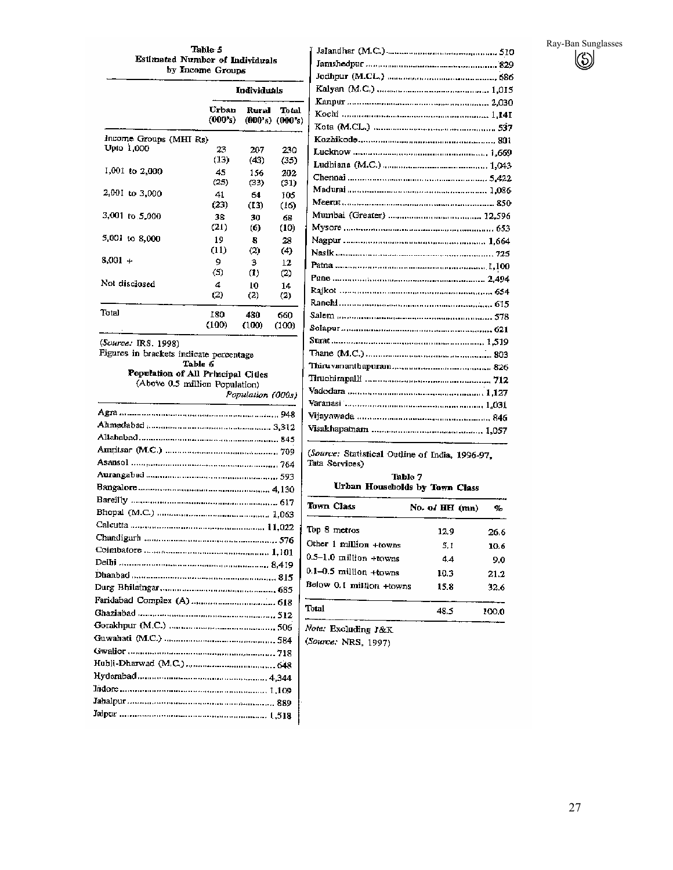# Ray-Ban Sunglasses  $\circledS$

#### Table 5 Estimated Number of Individuals by Income Groups

|                        | Individuals      |                  |                              |
|------------------------|------------------|------------------|------------------------------|
|                        | Urban<br>(000's) | Rural            | Total<br>$(000's)$ $(000's)$ |
| Income Groups (MHI Rs) |                  |                  |                              |
| Upto 1,000             | 23               | 207              | 230                          |
|                        | (13)             | (43)             | (35)                         |
| $1,001$ to $2,000$     | 45               | 156              | 202                          |
|                        | (25)             | (33)             | (31)                         |
| 2,001 to 3,000         | 41               | 64               | 105                          |
|                        | (23)             | (13)             | (16)                         |
| 3,001 to 5,000         | 38               | 30               | 68                           |
|                        | (21)             | (6)              | (10)                         |
| 5,001 to 8,000         | 19               | 8                | 28                           |
|                        | (11)             | (2)              | (4)                          |
| $8,001 +$              | 9                | з                | 12                           |
|                        | (5)              | $\left(1\right)$ | (2)                          |
| Not disclosed          | 4                | 10               | 14                           |
|                        | (2)              | (2)              | (2)                          |
| Total                  | 180              | 480              | 660                          |
|                        | (100)            | (100)            | (100)                        |

(Source: IRS. 1998)

Figures into 1220<br>Figures in brackets indicate percentage<br>Table 6<br>Population of All Principal Citles<br>(Above 0.5 million Population)

| <u> Andreas Andreas and Andreas Andreas Andreas Andreas Andreas Andreas Andreas Andreas Andreas Andreas Andreas A</u> |  |
|-----------------------------------------------------------------------------------------------------------------------|--|
|                                                                                                                       |  |
|                                                                                                                       |  |
|                                                                                                                       |  |
|                                                                                                                       |  |
|                                                                                                                       |  |
|                                                                                                                       |  |
|                                                                                                                       |  |
|                                                                                                                       |  |
|                                                                                                                       |  |
|                                                                                                                       |  |
|                                                                                                                       |  |
|                                                                                                                       |  |
|                                                                                                                       |  |
|                                                                                                                       |  |
|                                                                                                                       |  |
|                                                                                                                       |  |
|                                                                                                                       |  |
|                                                                                                                       |  |
|                                                                                                                       |  |
|                                                                                                                       |  |
|                                                                                                                       |  |
|                                                                                                                       |  |
|                                                                                                                       |  |
|                                                                                                                       |  |
|                                                                                                                       |  |
|                                                                                                                       |  |

| Salem proponentamental components and proposed 578 |
|----------------------------------------------------|
|                                                    |
|                                                    |
|                                                    |
|                                                    |
|                                                    |
|                                                    |
|                                                    |
|                                                    |
|                                                    |
|                                                    |

(Source: Statistical Outline of India, 1996-97, Tata Services)

#### Table 7 Urban Households by Town Class

| Town Class                 | No. of HH (mm) | %     |
|----------------------------|----------------|-------|
| Top 8 metros               | 12.9           | 26.6  |
| Other 1 million +towns     | 5. I           | 10.6  |
| $0.5-1.0$ million +towns   | 4.4            | 9.0   |
| $0.1 - 0.5$ million +towns | 10.3           | 21.2  |
| Below 0.1 million +towns   | 15.8           | 32.6  |
| Total                      | 48.5           | 100.0 |
|                            |                |       |

Note: Excluding J&K

(Source: NRS, 1997)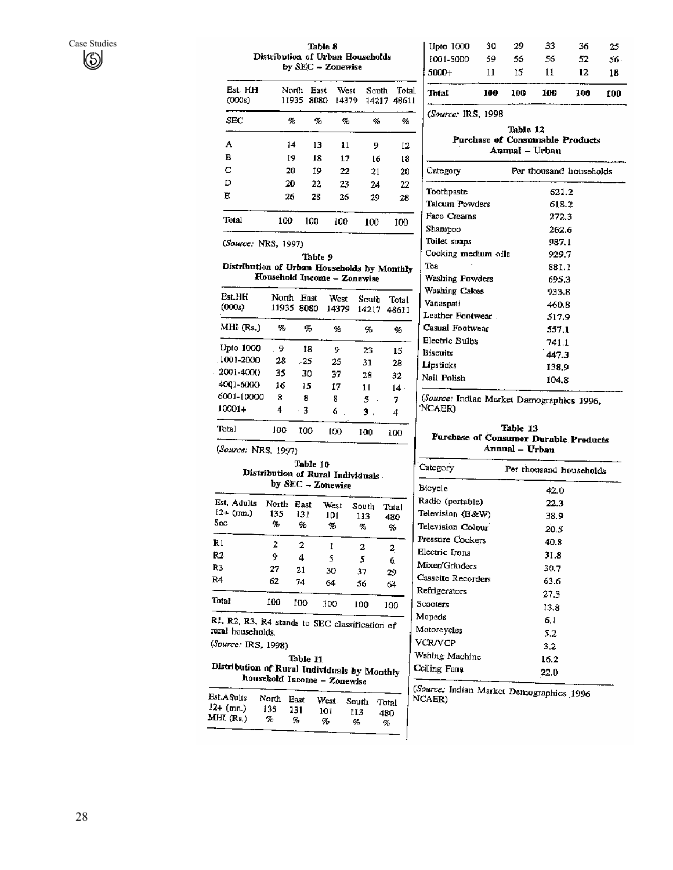#### Table 8 Distribution of Urban Households by SEC - Zonewise

| Est. HH<br>(000s) | North | East<br>11935 8080 | West | South<br>14379 14217 48611 | Total |
|-------------------|-------|--------------------|------|----------------------------|-------|
| SEC               | 96    | %,                 | g,   | q,                         | %     |
| А                 | 14    | 13                 | 11   | 9                          | 12    |
| в                 | 19    | 18                 | 17   | 16                         | 18    |
| с                 | 20    | 19                 | 22   | 21                         | 20    |
| D                 | 20    | 22                 | 23   | 24                         | 22    |
| E                 | 26    | 28                 | 26   | 29                         | 28    |
| Total             | 100   | 100                | 100  | 100                        | 1M)   |

(Source: NRS, 1997)

Table 9

Distribution of Urban Households by Monthly Household Income - Zonewise

| Est HH<br>(000s) | North<br>11935 | <b>East</b><br>8080 | West<br>14379 | South<br>14217 | Total<br>48611 |
|------------------|----------------|---------------------|---------------|----------------|----------------|
| MHI (Rs.)        | œ,             | ĢБ                  | ℀             | 95             | o,             |
| Upto 1000        | - 9            | 18                  | 9             | 23             | 15             |
| $1001 - 2000$    | 28             | - 25                | 25            | 31             | 28             |
| $-2001 - 4000$   | 35             | 30                  | 37            | 28             | 32             |
| 4001-6000        | 16             | 15                  | 17            | 11             | 14 -           |
| 6001-10000       | 8              | я                   | 8             | s              | 7              |
| $10001 +$        | 4              | - 3                 | 6             | з.             | 4              |
| Total            | 100            | 100                 | 100           | 100            | 100            |

(Source: NRS, 1997)

#### Table 10 Distribution of Rural Individuals. by SEC - Zonewise

| Est. Adults<br>$12+$ (mn.)<br>Sec. | North<br>135<br>÷. | East<br>131<br>瓴 | West<br>101<br>$\%$ | South<br>113<br>o, | Total<br>480<br>% |
|------------------------------------|--------------------|------------------|---------------------|--------------------|-------------------|
| Rı                                 | 2                  | 2                |                     | 2                  | 2                 |
| R2                                 | 9                  | 4                | 5                   | 5                  | 6                 |
| R3                                 | 27                 | 21               | 30                  | 37                 | 29                |
| R4                                 | 62                 | 74               | 64                  | 56                 | 64                |
| <b>Total</b>                       | 100                | 100              | 100                 | 100                | 100               |

R1, R2, R3, R4 stands to SEC classification of rural households.

(Source: IRS, 1998)

Table 11 Distribution of Rural Individuals by Monthly household Income - Zonewise

| Est.Acults  | North | Enst | West . | South | Total |
|-------------|-------|------|--------|-------|-------|
| $12+$ (mn.) | 135   | 131  | ю      | нз    | 48O   |
| MHR(Rs.)    | т,    | 9.   | %      | ą,    | %     |
|             |       |      |        |       |       |

| 11 | 15 | 11 | 12.               | 18  |
|----|----|----|-------------------|-----|
| 59 | 56 | 56 | 52                | 56. |
| 30 | 29 | 33 | 36                | 25  |
|    |    |    | 10A<br>10A<br>100 |     |

(Source: IRS, 1998)

#### Table 12 Purchase of Consumable Products Annual - Urban

| Category            | Per thousand households |
|---------------------|-------------------------|
| Toothpaste          | 621.2                   |
| Talcum Powders      | 618.2                   |
| Face Creams         | 272.3                   |
| Shampoo             | 262.6                   |
| Toilet soaps        | 987.1                   |
| Cooking medium oils | 929.7                   |
| Тея                 | 881.1                   |
| Washing Powders     | 695.3                   |
| Washing Cakes       | 933.8                   |
| Vanaspati           | 460.8                   |
| Leather Footwear.   | 517.9                   |
| Casual Footwear     | 557.1                   |
| Electric Bulbs      | 741.1                   |
| Biscuits            | 447.3                   |
| Lipsticks           | 138.9                   |
| Nail Polish         | 104.8                   |
|                     |                         |

(Source: Indian Market Damographics 1996, NCAER)

Table 13 Parchase of Consumer Durable Products Annual - Urban

| Category           | Per thousand households |
|--------------------|-------------------------|
| Bicycle            | 42.0                    |
| Radio (portable)   | 22.3                    |
| Television (B&W)   | 38.9                    |
| Television Colour  | 20.5                    |
| Pressure Cookers   | 40.8                    |
| Electric Irons     | 31.8                    |
| Mixer/Grinders     | 30.7                    |
| Cassette Recorders | 63.6                    |
| Refrigerators      | 27.3                    |
| Scooters           | 13.8                    |
| Mopeds             | 6.1                     |
| Motorcycles        | 5.2                     |
| <b>VCR/VCP</b>     | 3.2                     |
| Wshing Machine     | 16.2                    |
| Celling Fans       | 22.0                    |
|                    |                         |

(Source: Indian Market Demographics 1996 NCAER)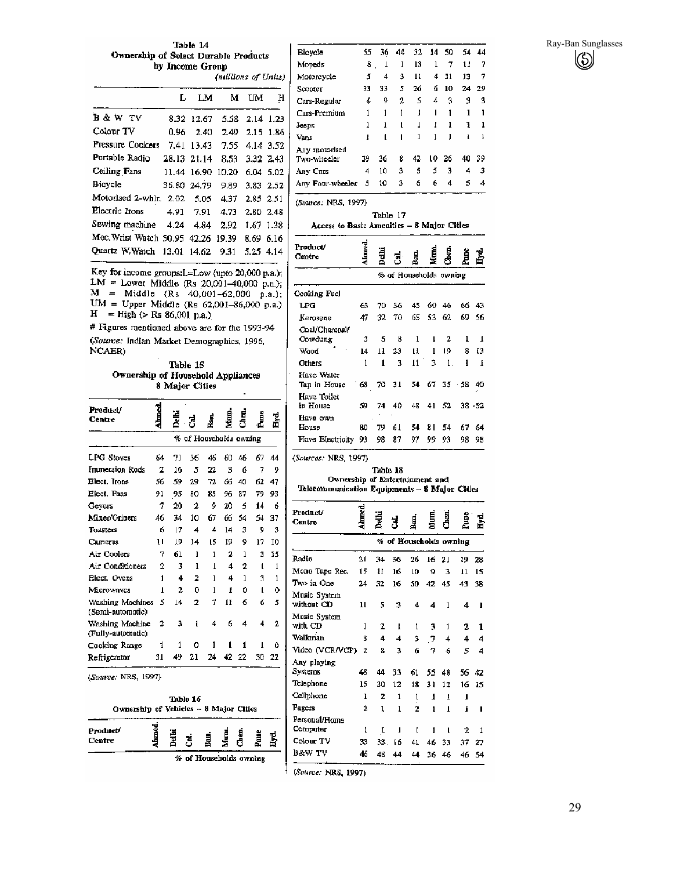Ray-Ban Sunglasses  $\left(\!\begin{smallmatrix} \zeta \ \zeta \end{smallmatrix} \!\right)$ 

Table 14 **Ownership of Select Durable Products** by Income Group

|                                    |             |             | (millions of Units) |           |             |
|------------------------------------|-------------|-------------|---------------------|-----------|-------------|
|                                    | L           | LM          | м                   | UМ        | н           |
| B & W TV                           |             | 8.32 12.67  | 5.58                |           | $2.14$ 1.23 |
| Colour TV                          | 0.96        | - 2.40      | 2.49                |           | $2.15$ 1.86 |
| Pressure Cookers                   |             | 7.41 13.43  | 7.55 .              |           | 4.14 3.52   |
| Portable Radio                     |             | 28.13 21.14 | 8.53 .              | 3.32 2.43 |             |
| Ceiling Fans                       |             | 11.44 16.90 | 10.20               |           | $6.04$ 5.02 |
| <b>Bicycle</b>                     | 36.80 24.79 |             | 9.89                |           | 3.83 2.52   |
| Motorised 2-whir, 2.02             |             | 5.05.       | 4.37                | 2.85 2.51 |             |
| Electric frons                     |             | 4.91 7.91   | 4.73                | 2.80 2.48 |             |
| Sewing machine 4.24 4.84           |             |             | 2.92                | 1.67 1.38 |             |
| Mec. Wrist Watch 50,95 42.26 19.39 |             |             |                     | 8.69 6.16 |             |
| Quartz W.Watch 13,01 14.62         |             |             | 9.31                | 5.25 4.14 |             |

Key for income groups:L=Low (upto 20,000 p.a.);  $LM = Lower Middle (Rs 20,001-40,000 p.a.);$  $M = Midde (Rs 40,001-62,000 p.a.);$ UM = Upper Middle (Rs 62,001-86,000 p.a.)  $H = High (> Rs 86,001 p.a.)$ 

# Figures mentioned above are for the 1993-94 (Source: Indian Market Demographics, 1996, NCAER)

Table 15 Ownership of Household Appliances 8 Major Cities

| Preduct/<br>Centre                   | 혋  | ia<br>E | ᅾ                      |              |              | d<br>S |    |    |
|--------------------------------------|----|---------|------------------------|--------------|--------------|--------|----|----|
|                                      |    |         | % of Houscholds owning |              |              |        |    |    |
| LPG Stoves                           | 64 | 71      | 36                     | 46           | 60.          | 46     | 67 | 44 |
| <b>Immersion Rods</b>                | 2  | 16      | 5                      | 22           | 3            | ń      | 7  | 9  |
| Elect. Irons                         | 56 | 59      | 29                     | 72           | 66           | 40     | 62 | 47 |
| Elect, Pans                          | 91 | 95      | 80                     | 85           | 96           | 87     | 79 | 93 |
| Gevers                               | 7  | 20      | 2                      | ą,           | 20           | 5      | 14 | 6  |
| Mixer/Griners                        | 46 | 34      | 10                     | 67           | 66           | 54     | 54 | 37 |
| Tounters                             | 6  | 17      | 4                      | 4            | 14           | 3      | g  | 3  |
| <b>Cameras</b>                       | 11 | 19      | 14                     | 15           | 19           | ¢      | 17 | I0 |
| Air Coolers                          | 7  | 61      | ı                      | 1            | $\mathbf{2}$ | 1      | 3  | 15 |
| Air Conditioners                     | 2  | 3       | ı                      | $\mathbf{I}$ | 4            | 2      | t  | 1  |
| Elect. Ovens                         | 1  | 4       | 2                      | 1            | 4            | 1      | 3  | 1  |
| Microwaycs                           | 1  | 2       | n                      | 1            | ŧ            | û      | 1  | Ō  |
| Washing Machines<br>(Semi-automatic) | 5  | 4       | 2                      | 7            | Ħ            | 6      | 6  | 5  |
| Washing Machine<br>(Fully-automatic) | 2  | 3       | 1                      | 4            | 6            | 4      | 4  | 2. |
| Cooking Range                        | 1  | 1       | Ω                      | 1            | 1            | 1      | ı  | Û  |
| Refrigerator                         | 31 | 49      | 21                     | 24           | 42           | 22     | 30 | 22 |





Bicycle 55 36 44 32  $14$ 50 54 44 Mopeds  $\pmb{8}$  $\perp$  $\;$  I 13  $\mathbf 1$  $\tau$  $\mathbf{11}$  $\overline{7}$  $\mathfrak z$  $\overline{4}$  $4 \; 11$ Motorcycle  $\overline{\mathbf{3}}$  $\mathbf{I}$  $13$  $\overline{7}$  $33 -$ 33 5  ${\bf 26}$  $6<sub>10</sub>$ 24 29  $Scooter$ Cars-Regular  $\pmb{4}$ 9  $\boldsymbol{2}$ 5 4 3  $\overline{3}$  $\overline{3}$ Cars-Premium  $\,1$  $\,1\,$  $\mathbf{I}$  $\mathbf i$  $\mathbf I$  $\mathbf{1}$  $\mathbf{I}$  $\mathbf{I}$  $\mathbf{I}$  $\mathbf 1$  $\pmb{I}$  $\mathbf 1$  $\mathbf i$  $\mathbf 1$ Jeeps  $\mathbf{1}$  $\mathbf{1}$  $\rm Vans$  $\mathbf{1}$  $\mathbf{1}$  $\mathbf{I}$  $\mathbf{1}$ J.  $\blacksquare$  $\blacksquare$ 1 Any motorised Two-wheeler 39 36 8 42 ιo 26 40 39 Any Cars 4  $10$ 3 5 5 3  $\overline{4}$  $\,$  3  $54$ Any Four-wheeler 5 10  $\mathbf 3$ 6 6 4 (Source: NRS, 1997) Table 17 Access to Basic Amenities - 8 Major Citles 륖  $D_{\text{model}}$ ä,

| rrouucv<br>Centre          |      | Delhi | J                      | 퉎   |     |        | Ž   |           |
|----------------------------|------|-------|------------------------|-----|-----|--------|-----|-----------|
|                            |      |       | % of Households owning |     |     |        |     |           |
| Cooking Fuel               |      |       |                        |     |     |        |     |           |
| LPG                        | 63   | 70.   | 36                     | 45. | 60. | 46     | 66. | 43        |
| Kerosene                   | 47   | 32    | 70                     | 65  | 53  | 62.    | 69. | 56        |
| Coal/Charcoal/<br>Cowdung  | 3    | 5     | 8                      | 1   | ı   | 2      | 1   | 1         |
| Wood                       | 14   | 11    | 23                     | 11  | 1   | 19     | 8   | 13        |
| Others                     | 1    | 1     | 3                      | 11. | 3   | $1$ .  | ı   | I         |
| Have Water<br>Tap in House | - 63 | 70 31 |                        | 54  |     | 673538 |     | 40        |
| Have Toilet<br>in House    | 59   | 74    | 40                     | 48  | 41  | 52     |     | $38 - 52$ |
| Have own                   |      |       |                        |     |     |        |     |           |
| House                      | BО   | 79    | 61                     | 54  | 81  | 54     | 67. | 64        |
| Have Electricity           | 93   | 98    | 87                     | 97  | 99  | 93     | 98  | 98        |

(Sources: NRS, 1997).

Table 18 Ownership of Entertainment and

Telecommunication Equipments - 8 Major Citles

| Product/<br>Centre         | <b>Ahmed</b>   | Delhi | J            | ßa,                    | É            | Chen. | 曽  | ÷  |
|----------------------------|----------------|-------|--------------|------------------------|--------------|-------|----|----|
|                            |                |       |              | % of Households owning |              |       |    |    |
| Radio                      | 21             | 34    | 36           | 26                     | 16           | 21    | 19 | 28 |
| Mone Tape Rec.             | 15             | 11    | 16           | 10                     | 9            | 3     | 11 | ĽŠ |
| Two in One                 | 24             | 32    | 16           | 50                     | 42           | 45    | 43 | 38 |
| Music System<br>without CD | Ħ              | 5     | 3            | 4                      | 4            | 1     | 4  | ı  |
| Music System<br>with CD    | 1              | 2     | I.           | 1                      | 3            | 1     | 2  | 1  |
| Walkman                    | 3              | 4     | 4            | 3                      | $\mathcal I$ | 4     | 4  | 4  |
| Video (VCR/VCP)            | $\overline{2}$ | 8     | 3            | 6                      | ヴ            | 6     | 5  | 4  |
| Any playing<br>Systems     | 45             | 44    | 33           | 61                     | 55           | 48    | 56 | 42 |
| Telephone                  | 15             | 30    | 12           | 18                     | 31           | 12    | 16 | 15 |
| Cellphone                  | I              | 2     | $\mathbf{1}$ | 1                      | 1            | I     | п  |    |
| Pagers                     | 2              | 1     | $\mathbf{1}$ | $\overline{2}$         | ı            | 1     | f  | ı  |
| Personal/Home<br>Computer  | 1              | I     | ı            | f                      | 1            | ı     | 2  | 1  |
| Colour TV                  | 33             | 33.   | 16           | 41                     | 46           | 33    | 37 | 27 |
| B&W TV                     | 46             | 46    | 44           | 44                     | 36           | 46    | 46 | 54 |

(Source: NRS, 1997)